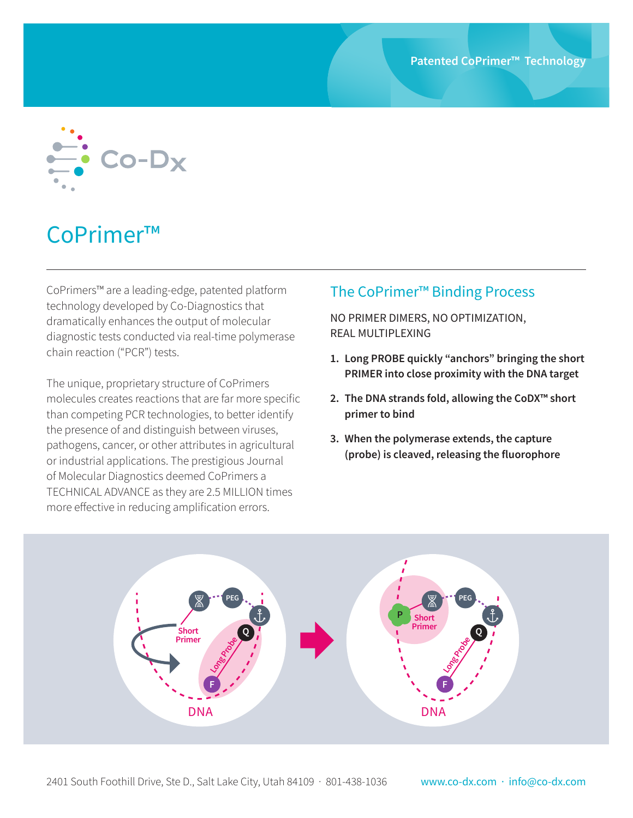

## CoPrimer™

CoPrimers™ are a leading-edge, patented platform technology developed by Co-Diagnostics that dramatically enhances the output of molecular diagnostic tests conducted via real-time polymerase chain reaction ("PCR") tests.

The unique, proprietary structure of CoPrimers molecules creates reactions that are far more specific than competing PCR technologies, to better identify the presence of and distinguish between viruses, pathogens, cancer, or other attributes in agricultural or industrial applications. The prestigious Journal of Molecular Diagnostics deemed CoPrimers a TECHNICAL ADVANCE as they are 2.5 MILLION times more effective in reducing amplification errors.

## The CoPrimer™ Binding Process

NO PRIMER DIMERS, NO OPTIMIZATION, REAL MULTIPLEXING

- **1. Long PROBE quickly "anchors" bringing the short PRIMER into close proximity with the DNA target**
- **2. The DNA strands fold, allowing the CoDX™ short primer to bind**
- **3. When the polymerase extends, the capture (probe) is cleaved, releasing the fluorophore**